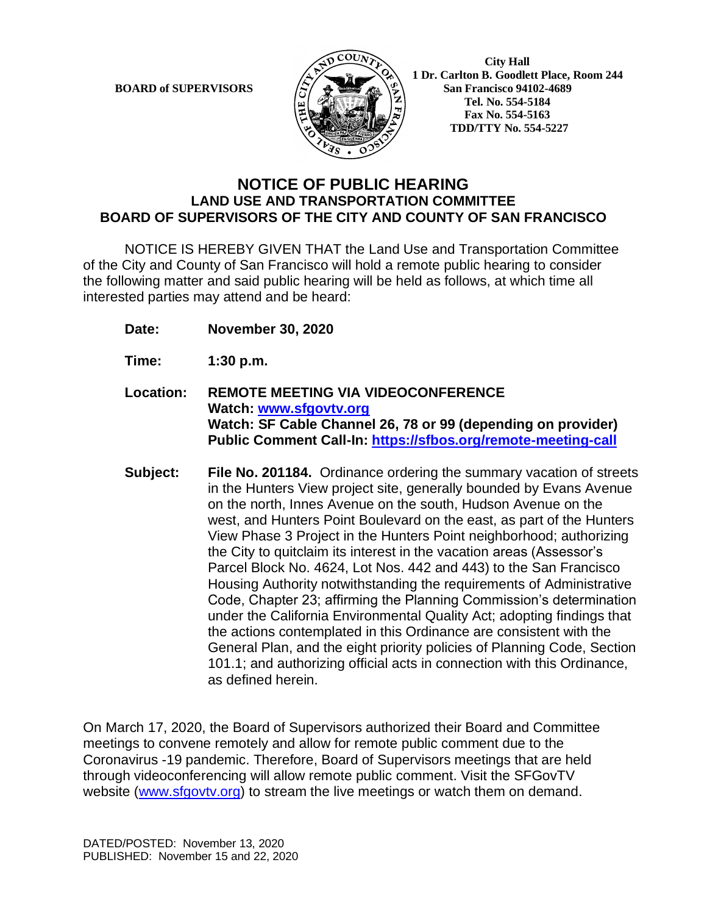

 **1 Dr. Carlton B. Goodlett Place, Room 244 BOARD of SUPERVISORS**  $\left(\frac{S}{I}\right)$   $\oplus$   $\left(\frac{S}{I}\right)$  San Francisco 94102-4689  **Tel. No. 554-5184 Fax No. 554-5163 TDD/TTY No. 554-5227**

## **NOTICE OF PUBLIC HEARING LAND USE AND TRANSPORTATION COMMITTEE BOARD OF SUPERVISORS OF THE CITY AND COUNTY OF SAN FRANCISCO**

NOTICE IS HEREBY GIVEN THAT the Land Use and Transportation Committee of the City and County of San Francisco will hold a remote public hearing to consider the following matter and said public hearing will be held as follows, at which time all interested parties may attend and be heard:

- **Date: November 30, 2020**
- **Time: 1:30 p.m.**
- **Location: REMOTE MEETING VIA VIDEOCONFERENCE Watch: www.sfgovtv.org Watch: SF Cable Channel 26, 78 or 99 (depending on provider) Public Comment Call-In: https://sfbos.org/remote-meeting-call**
- **Subject: File No. 201184.** Ordinance ordering the summary vacation of streets in the Hunters View project site, generally bounded by Evans Avenue on the north, Innes Avenue on the south, Hudson Avenue on the west, and Hunters Point Boulevard on the east, as part of the Hunters View Phase 3 Project in the Hunters Point neighborhood; authorizing the City to quitclaim its interest in the vacation areas (Assessor's Parcel Block No. 4624, Lot Nos. 442 and 443) to the San Francisco Housing Authority notwithstanding the requirements of Administrative Code, Chapter 23; affirming the Planning Commission's determination under the California Environmental Quality Act; adopting findings that the actions contemplated in this Ordinance are consistent with the General Plan, and the eight priority policies of Planning Code, Section 101.1; and authorizing official acts in connection with this Ordinance, as defined herein.

On March 17, 2020, the Board of Supervisors authorized their Board and Committee meetings to convene remotely and allow for remote public comment due to the Coronavirus -19 pandemic. Therefore, Board of Supervisors meetings that are held through videoconferencing will allow remote public comment. Visit the SFGovTV website (www.sfgovtv.org) to stream the live meetings or watch them on demand.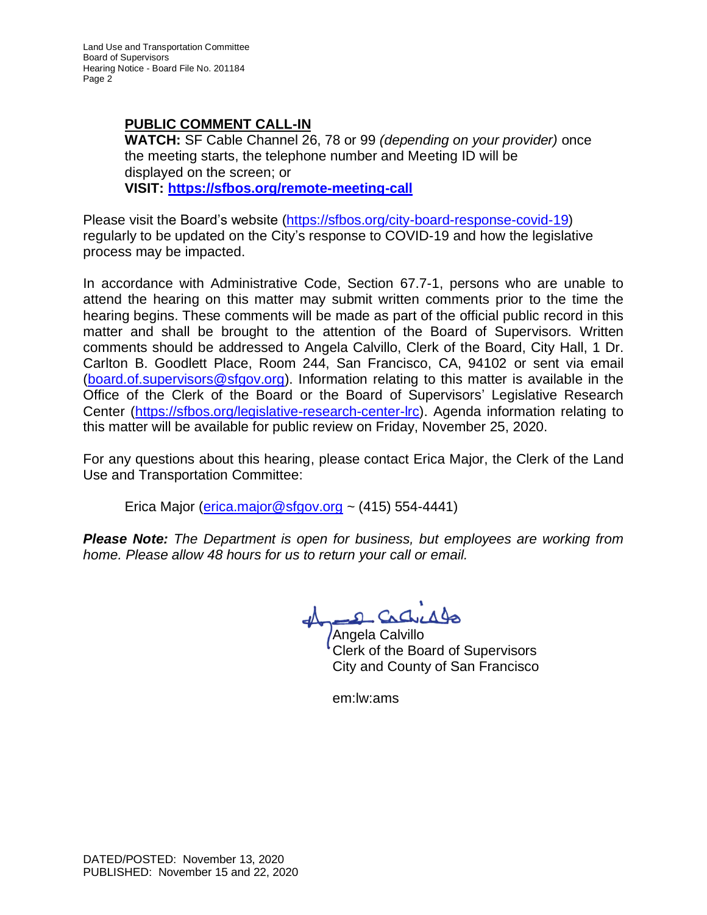## **PUBLIC COMMENT CALL-IN**

**WATCH:** SF Cable Channel 26, 78 or 99 *(depending on your provider)* once the meeting starts, the telephone number and Meeting ID will be displayed on the screen; or **VISIT: https://sfbos.org/remote-meeting-call**

Please visit the Board's website (https://sfbos.org/city-board-response-covid-19) regularly to be updated on the City's response to COVID-19 and how the legislative process may be impacted.

In accordance with Administrative Code, Section 67.7-1, persons who are unable to attend the hearing on this matter may submit written comments prior to the time the hearing begins. These comments will be made as part of the official public record in this matter and shall be brought to the attention of the Board of Supervisors. Written comments should be addressed to Angela Calvillo, Clerk of the Board, City Hall, 1 Dr. Carlton B. Goodlett Place, Room 244, San Francisco, CA, 94102 or sent via email (board.of.supervisors@sfgov.org). Information relating to this matter is available in the Office of the Clerk of the Board or the Board of Supervisors' Legislative Research Center (https://sfbos.org/legislative-research-center-lrc). Agenda information relating to this matter will be available for public review on Friday, November 25, 2020.

For any questions about this hearing, please contact Erica Major, the Clerk of the Land Use and Transportation Committee:

Erica Major ( $\frac{e}{2}$ rica.major $\textcircled{e}$  sfgov.org ~ (415) 554-4441)

*Please Note: The Department is open for business, but employees are working from home. Please allow 48 hours for us to return your call or email.*

D Crd

Angela Calvillo Clerk of the Board of Supervisors City and County of San Francisco

em:lw:ams